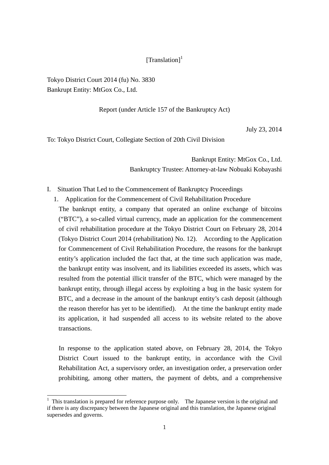## $[Translation]$ <sup>1</sup>

Tokyo District Court 2014 (fu) No. 3830 Bankrupt Entity: MtGox Co., Ltd.

#### Report (under Article 157 of the Bankruptcy Act)

July 23, 2014

To: Tokyo District Court, Collegiate Section of 20th Civil Division

Bankrupt Entity: MtGox Co., Ltd. Bankruptcy Trustee: Attorney-at-law Nobuaki Kobayashi

- I. Situation That Led to the Commencement of Bankruptcy Proceedings
	- 1. Application for the Commencement of Civil Rehabilitation Procedure

The bankrupt entity, a company that operated an online exchange of bitcoins ("BTC"), a so-called virtual currency, made an application for the commencement of civil rehabilitation procedure at the Tokyo District Court on February 28, 2014 (Tokyo District Court 2014 (rehabilitation) No. 12). According to the Application for Commencement of Civil Rehabilitation Procedure, the reasons for the bankrupt entity's application included the fact that, at the time such application was made, the bankrupt entity was insolvent, and its liabilities exceeded its assets, which was resulted from the potential illicit transfer of the BTC, which were managed by the bankrupt entity, through illegal access by exploiting a bug in the basic system for BTC, and a decrease in the amount of the bankrupt entity's cash deposit (although the reason therefor has yet to be identified). At the time the bankrupt entity made its application, it had suspended all access to its website related to the above transactions.

In response to the application stated above, on February 28, 2014, the Tokyo District Court issued to the bankrupt entity, in accordance with the Civil Rehabilitation Act, a supervisory order, an investigation order, a preservation order prohibiting, among other matters, the payment of debts, and a comprehensive

<sup>&</sup>lt;sup>1</sup> This translation is prepared for reference purpose only. The Japanese version is the original and if there is any discrepancy between the Japanese original and this translation, the Japanese original supersedes and governs.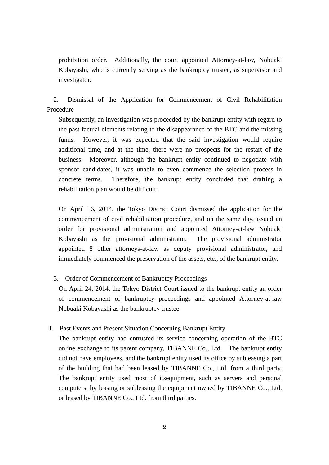prohibition order. Additionally, the court appointed Attorney-at-law, Nobuaki Kobayashi, who is currently serving as the bankruptcy trustee, as supervisor and investigator.

 2. Dismissal of the Application for Commencement of Civil Rehabilitation Procedure

Subsequently, an investigation was proceeded by the bankrupt entity with regard to the past factual elements relating to the disappearance of the BTC and the missing funds. However, it was expected that the said investigation would require additional time, and at the time, there were no prospects for the restart of the business. Moreover, although the bankrupt entity continued to negotiate with sponsor candidates, it was unable to even commence the selection process in concrete terms. Therefore, the bankrupt entity concluded that drafting a rehabilitation plan would be difficult.

On April 16, 2014, the Tokyo District Court dismissed the application for the commencement of civil rehabilitation procedure, and on the same day, issued an order for provisional administration and appointed Attorney-at-law Nobuaki Kobayashi as the provisional administrator. The provisional administrator appointed 8 other attorneys-at-law as deputy provisional administrator, and immediately commenced the preservation of the assets, etc., of the bankrupt entity.

3. Order of Commencement of Bankruptcy Proceedings

On April 24, 2014, the Tokyo District Court issued to the bankrupt entity an order of commencement of bankruptcy proceedings and appointed Attorney-at-law Nobuaki Kobayashi as the bankruptcy trustee.

II. Past Events and Present Situation Concerning Bankrupt Entity

The bankrupt entity had entrusted its service concerning operation of the BTC online exchange to its parent company, TIBANNE Co., Ltd. The bankrupt entity did not have employees, and the bankrupt entity used its office by subleasing a part of the building that had been leased by TIBANNE Co., Ltd. from a third party. The bankrupt entity used most of itsequipment, such as servers and personal computers, by leasing or subleasing the equipment owned by TIBANNE Co., Ltd. or leased by TIBANNE Co., Ltd. from third parties.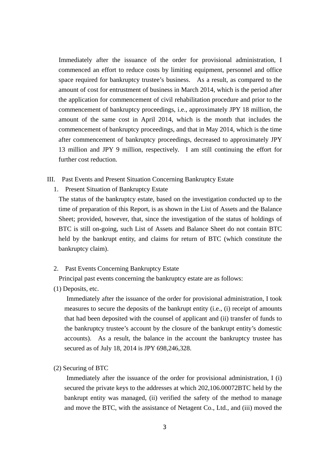Immediately after the issuance of the order for provisional administration, I commenced an effort to reduce costs by limiting equipment, personnel and office space required for bankruptcy trustee's business. As a result, as compared to the amount of cost for entrustment of business in March 2014, which is the period after the application for commencement of civil rehabilitation procedure and prior to the commencement of bankruptcy proceedings, i.e., approximately JPY 18 million, the amount of the same cost in April 2014, which is the month that includes the commencement of bankruptcy proceedings, and that in May 2014, which is the time after commencement of bankruptcy proceedings, decreased to approximately JPY 13 million and JPY 9 million, respectively. I am still continuing the effort for further cost reduction.

- III. Past Events and Present Situation Concerning Bankruptcy Estate
	- 1. Present Situation of Bankruptcy Estate

The status of the bankruptcy estate, based on the investigation conducted up to the time of preparation of this Report, is as shown in the List of Assets and the Balance Sheet; provided, however, that, since the investigation of the status of holdings of BTC is still on-going, such List of Assets and Balance Sheet do not contain BTC held by the bankrupt entity, and claims for return of BTC (which constitute the bankruptcy claim).

2. Past Events Concerning Bankruptcy Estate

Principal past events concerning the bankruptcy estate are as follows:

(1) Deposits, etc.

Immediately after the issuance of the order for provisional administration, I took measures to secure the deposits of the bankrupt entity (i.e., (i) receipt of amounts that had been deposited with the counsel of applicant and (ii) transfer of funds to the bankruptcy trustee's account by the closure of the bankrupt entity's domestic accounts). As a result, the balance in the account the bankruptcy trustee has secured as of July 18, 2014 is JPY 698,246,328.

(2) Securing of BTC

Immediately after the issuance of the order for provisional administration, I (i) secured the private keys to the addresses at which 202,106.00072BTC held by the bankrupt entity was managed, (ii) verified the safety of the method to manage and move the BTC, with the assistance of Netagent Co., Ltd., and (iii) moved the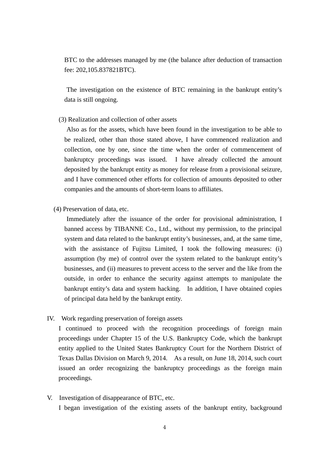BTC to the addresses managed by me (the balance after deduction of transaction fee: 202,105.837821BTC).

The investigation on the existence of BTC remaining in the bankrupt entity's data is still ongoing.

(3) Realization and collection of other assets

Also as for the assets, which have been found in the investigation to be able to be realized, other than those stated above, I have commenced realization and collection, one by one, since the time when the order of commencement of bankruptcy proceedings was issued. I have already collected the amount deposited by the bankrupt entity as money for release from a provisional seizure, and I have commenced other efforts for collection of amounts deposited to other companies and the amounts of short-term loans to affiliates.

(4) Preservation of data, etc.

Immediately after the issuance of the order for provisional administration, I banned access by TIBANNE Co., Ltd., without my permission, to the principal system and data related to the bankrupt entity's businesses, and, at the same time, with the assistance of Fujitsu Limited, I took the following measures: (i) assumption (by me) of control over the system related to the bankrupt entity's businesses, and (ii) measures to prevent access to the server and the like from the outside, in order to enhance the security against attempts to manipulate the bankrupt entity's data and system hacking. In addition, I have obtained copies of principal data held by the bankrupt entity.

IV. Work regarding preservation of foreign assets

I continued to proceed with the recognition proceedings of foreign main proceedings under Chapter 15 of the U.S. Bankruptcy Code, which the bankrupt entity applied to the United States Bankruptcy Court for the Northern District of Texas Dallas Division on March 9, 2014. As a result, on June 18, 2014, such court issued an order recognizing the bankruptcy proceedings as the foreign main proceedings.

V. Investigation of disappearance of BTC, etc. I began investigation of the existing assets of the bankrupt entity, background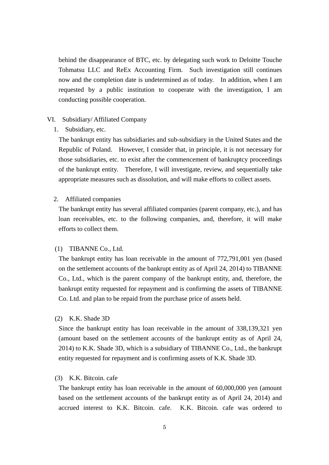behind the disappearance of BTC, etc. by delegating such work to Deloitte Touche Tohmatsu LLC and ReEx Accounting Firm. Such investigation still continues now and the completion date is undetermined as of today. In addition, when I am requested by a public institution to cooperate with the investigation, I am conducting possible cooperation.

#### VI. Subsidiary/ Affiliated Company

#### 1. Subsidiary, etc.

The bankrupt entity has subsidiaries and sub-subsidiary in the United States and the Republic of Poland. However, I consider that, in principle, it is not necessary for those subsidiaries, etc. to exist after the commencement of bankruptcy proceedings of the bankrupt entity. Therefore, I will investigate, review, and sequentially take appropriate measures such as dissolution, and will make efforts to collect assets.

#### 2. Affiliated companies

The bankrupt entity has several affiliated companies (parent company, etc.), and has loan receivables, etc. to the following companies, and, therefore, it will make efforts to collect them.

#### (1) TIBANNE Co., Ltd.

The bankrupt entity has loan receivable in the amount of 772,791,001 yen (based on the settlement accounts of the bankrupt entity as of April 24, 2014) to TIBANNE Co., Ltd., which is the parent company of the bankrupt entity, and, therefore, the bankrupt entity requested for repayment and is confirming the assets of TIBANNE Co. Ltd. and plan to be repaid from the purchase price of assets held.

#### (2) K.K. Shade 3D

Since the bankrupt entity has loan receivable in the amount of 338,139,321 yen (amount based on the settlement accounts of the bankrupt entity as of April 24, 2014) to K.K. Shade 3D, which is a subsidiary of TIBANNE Co., Ltd., the bankrupt entity requested for repayment and is confirming assets of K.K. Shade 3D.

### (3) K.K. Bitcoin. cafe

The bankrupt entity has loan receivable in the amount of 60,000,000 yen (amount based on the settlement accounts of the bankrupt entity as of April 24, 2014) and accrued interest to K.K. Bitcoin. cafe. K.K. Bitcoin. cafe was ordered to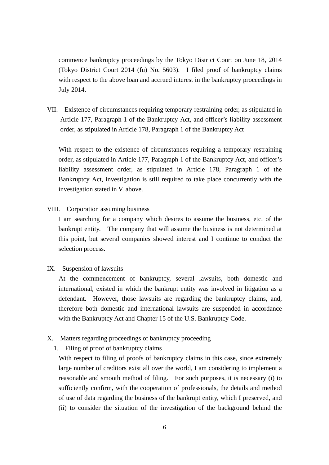commence bankruptcy proceedings by the Tokyo District Court on June 18, 2014 (Tokyo District Court 2014 (fu) No. 5603). I filed proof of bankruptcy claims with respect to the above loan and accrued interest in the bankruptcy proceedings in July 2014.

VII. Existence of circumstances requiring temporary restraining order, as stipulated in Article 177, Paragraph 1 of the Bankruptcy Act, and officer's liability assessment order, as stipulated in Article 178, Paragraph 1 of the Bankruptcy Act

With respect to the existence of circumstances requiring a temporary restraining order, as stipulated in Article 177, Paragraph 1 of the Bankruptcy Act, and officer's liability assessment order, as stipulated in Article 178, Paragraph 1 of the Bankruptcy Act, investigation is still required to take place concurrently with the investigation stated in V. above.

VIII. Corporation assuming business

I am searching for a company which desires to assume the business, etc. of the bankrupt entity. The company that will assume the business is not determined at this point, but several companies showed interest and I continue to conduct the selection process.

IX. Suspension of lawsuits

At the commencement of bankruptcy, several lawsuits, both domestic and international, existed in which the bankrupt entity was involved in litigation as a defendant. However, those lawsuits are regarding the bankruptcy claims, and, therefore both domestic and international lawsuits are suspended in accordance with the Bankruptcy Act and Chapter 15 of the U.S. Bankruptcy Code.

- X. Matters regarding proceedings of bankruptcy proceeding
	- 1. Filing of proof of bankruptcy claims

With respect to filing of proofs of bankruptcy claims in this case, since extremely large number of creditors exist all over the world, I am considering to implement a reasonable and smooth method of filing. For such purposes, it is necessary (i) to sufficiently confirm, with the cooperation of professionals, the details and method of use of data regarding the business of the bankrupt entity, which I preserved, and (ii) to consider the situation of the investigation of the background behind the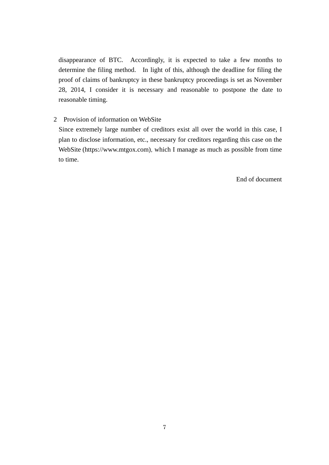disappearance of BTC. Accordingly, it is expected to take a few months to determine the filing method. In light of this, although the deadline for filing the proof of claims of bankruptcy in these bankruptcy proceedings is set as November 28, 2014, I consider it is necessary and reasonable to postpone the date to reasonable timing.

#### 2 Provision of information on WebSite

Since extremely large number of creditors exist all over the world in this case, I plan to disclose information, etc., necessary for creditors regarding this case on the WebSite (https://www.mtgox.com), which I manage as much as possible from time to time.

End of document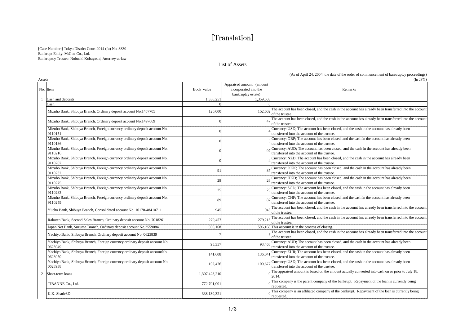# [Translation]

[Case Number:] Tokyo District Court 2014 (fu) No. 3830 Bankrupt Entity: MtGox Co., Ltd. Bankruptcy Trustee: Nobuaki Kobayashi, Attorney-at-law

K.K. Shade3D

#### List of Assets

#### (As of April 24, 2004, the date of the order of commencement of bankruptcy proceedings)

Assets $\sin^2( \ln JPY)$ No. Item Book value Appraised amount (amount incorporated into the bankruptcy estate) Remarks1,339,503 1,359,503 1,359,503 Cash 0 0 Mizuho Bank, Shibuya Branch, Ordinary deposit account No.1457705 120,000 152,602 The account has been closed, and the cash in the account has already been transferred into the account of the trustee. Mizuho Bank, Shibuya Branch, Ordinary deposit account No.1497669 0 47 The account has been closed, and the cash in the account has already been transferred into the account has already been transferred into the account has Mizuho Bank, Shibuya Branch, Foreign currency ordinary deposit account No. 9110151 <sup>0</sup> <sup>4</sup> Currency: USD; The account has been closed, and the cash in the account has already been transferred into the account of the trustee. Mizuho Bank, Shibuya Branch, Foreign currency ordinary deposit account No. 9110186 <sup>0</sup> <sup>5</sup> Currency: GBP; The account has been closed, and the cash in the account has already been transferred into the account of the trustee. Mizuho Bank, Shibuya Branch, Foreign currency ordinary deposit account No. 911021697 Currency: AUD; The account has been closed, and the cash in the account has already been transferred into the account of the trustee. Mizuho Bank, Shibuya Branch, Foreign currency ordinary deposit account No. 9110267 <sup>0</sup> <sup>4</sup> Currency: NZD; The account has been closed, and the cash in the account has already been transferred into the account of the trustee. Mizuho Bank, Shibuya Branch, Foreign currency ordinary deposit account No. 911023291 87 Currency: DKK; The account has been closed, and the cash in the account has already been transferred into the account of the trustee. Mizuho Bank, Shibuya Branch, Foreign currency ordinary deposit account No. 911027528 26 Currency: HKD; The account has been closed, and the cash in the account has already been transferred into the account of the trustee. Mizuho Bank, Shibuya Branch, Foreign currency ordinary deposit account No. 911028325 Currency: SGD; The account has been closed, and the cash in the account has already been transferred into the account of the trustee. Mizuho Bank, Shibuya Branch, Foreign currency ordinary deposit account No. 9110259 $89$  Currency: CHF; The account has been closed, and the cash in the account has already been transferred into the account of the trustee. Yucho Bank, Shibuya Branch, Consolidated account No. 10170-48410711 945 945 The account has been closed, and the cash in the account has already been transferred into the account of the trustee. Rakuten Bank, Second Sales Branch, Ordinary deposit account No. 7018261 279,457 279,457 279,213 The account has been closed, and the cash in the account has already been transferred into the account of the trustee. Japan Net Bank, Suzume Branch, Ordinary deposit account No.2559084 596,168 596,168 This account is in the process of closing. Yachiyo Bank, Shibuya Branch, Ordinary deposit account No. 0623839  $\frac{1}{2}$  The account has been closed, and the cash in the account has already been transferred into the account has already been transferred into the acc of the trustee. Yachiyo Bank, Shibuya Branch, Foreign currency ordinary deposit account No. 062394995,357 93,468 Currency: AUD; The account has been closed, and the cash in the account has already been transferred into the account of the trustee. Yachiyo Bank, Shibuya Branch, Foreign currency ordinary deposit accountNo. 0623950141,608 136,041 Currency: EUR; The account has been closed, and the cash in the account has already been transferred into the account of the trustee. Yachiyo Bank, Shibuya Branch, Foreign currency ordinary deposit account No. 0623938102,476 100,677 Currency: USD; The account has been closed, and the cash in the account has already been transferred into the account of the trustee. 2. Short-term loans 1,307,423,210 The appraised amount is based on the amount actually converted into cash on or prior to July 18, TIBANNE Co., Ltd.  $\frac{772,791,001}{272,791,001}$  This company is the parent company of the bankrupt. Repayment of the loan is currently being requested.

338,139,321 0 This company is an affiliated company of the bankrupt. Repayment of the loan is currently being

requested.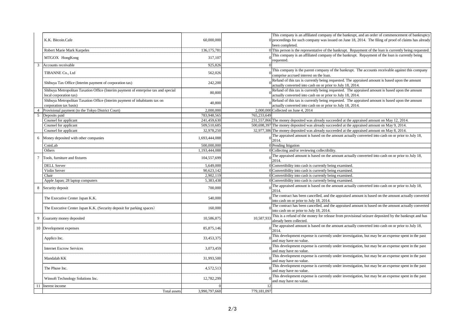|                |                                                                                                               |               | This company is an affiliated company of the bankrupt, and an order of commencement of bankruptcy                                                            |
|----------------|---------------------------------------------------------------------------------------------------------------|---------------|--------------------------------------------------------------------------------------------------------------------------------------------------------------|
|                | K.K. Bitcoin.Cafe                                                                                             | 60,000,000    | $0$ proceedings for such company was issued on June 18, 2014. The filing of proof of claims has already                                                      |
|                |                                                                                                               |               | been completed.                                                                                                                                              |
|                | Robert Marie Mark Karpeles                                                                                    | 136, 175, 781 | 0 This person is the representative of the bankrupt. Repayment of the loan is currently being requested.                                                     |
|                | MTGOX HongKong                                                                                                | 317,107       | This company is an affiliated company of the bankrupt. Repayment of the loan is currently being<br>requested.                                                |
| 3              | Accounts receivable                                                                                           | 925,826       |                                                                                                                                                              |
|                | TIBANNE Co., Ltd                                                                                              | 562,026       | This company is the parent company of the bankrupt. The accounts receivable against this company<br>comprise accrued interest on the loan.                   |
|                | Shibuya Tax Office (Interim payment of corporation tax)                                                       | 242,200       | Refund of this tax is currently being requested. The appraised amount is based upon the amount<br>actually converted into cash on or prior to July 18, 2014. |
|                | Shibuya Metropolitan Taxation Office (Interim payment of enterprise tax and special<br>local corporation tax) | 80,800        | Refund of this tax is currently being requested. The appraised amount is based upon the amount<br>actually converted into cash on or prior to July 18, 2014. |
|                | Shibuya Metropolitan Taxation Office (Interim payment of inhabitants tax on<br>corporation tax basis)         | 40,800        | Refund of this tax is currently being requested. The appraised amount is based upon the amount<br>actually converted into cash on or prior to July 18, 2014. |
| $\overline{A}$ | Provisional payment (to the Tokyo District Court)                                                             | 2,000,000     | $2.000000$ Collected on June 4, 2014                                                                                                                         |
| 5              | Deposits paid                                                                                                 | 783,948,565   | 765,233,649                                                                                                                                                  |
|                | Counsel for applicant                                                                                         | 241,459,630   | 231,557,866 The money deposited was already succeeded at the appraised amount on May 12, 2014.                                                               |
|                | Counsel for applicant                                                                                         | 509,510,685   | 500,698,397 The money deposited was already succeeded at the appraised amount on May 9, 2014.                                                                |
|                | Counsel for applicant                                                                                         | 32,978,250    | 32,977,386 The money deposited was already succeeded at the appraised amount on May 8, 2014.                                                                 |
| 6              | Money deposited with other companies                                                                          | 1,693,444,088 | The appraised amount is based on the amount actually converted into cash on or prior to July 18,<br>2014.                                                    |
|                | CoinLab                                                                                                       | 500,000,000   | 0 Pending litigation                                                                                                                                         |
|                | Others                                                                                                        | 1,193,444,088 | 0 Collecting and/or reviewing collectibility.                                                                                                                |
| $\overline{7}$ | Tools, furniture and fixtures                                                                                 | 104,557,699   | The appraised amount is based on the amount actually converted into cash on or prior to July 18,<br>2014.                                                    |
|                | <b>DELL Server</b>                                                                                            | 5,649,000     | 0 Convertibility into cash is currently being examined.                                                                                                      |
|                | Violin Server                                                                                                 | 90.623.142    | 0 Convertibility into cash is currently being examined.                                                                                                      |
|                | Chair                                                                                                         | 2,902,119     | 0 Convertibility into cash is currently being examined.                                                                                                      |
|                | Apple Japan; 28 laptop computers                                                                              | 5,383,438     | 0 Convertibility into cash is currently being examined.                                                                                                      |
| 8              | Security deposit                                                                                              | 700,000       | The appraised amount is based on the amount actually converted into cash on or prior to July 18,<br>2014.                                                    |
|                | The Executive Center Japan K.K.                                                                               | 540,000       | The contract has been cancelled, and the appraised amount is based on the amount actually converted<br>into cash on or prior to July 18, 2014.               |
|                | The Executive Center Japan K.K. (Security deposit for parking spaces)                                         | 160,000       | The contract has been cancelled, and the appraised amount is based on the amount actually converted<br>into cash on or prior to July 18, 2014.               |
| 9              | Guaranty money deposited                                                                                      | 10,586,875    | This is a refund of the money for release from provisional seizure deposited by the bankrupt and has<br>10,587,933<br>already been collected.                |
|                | 10 Development expenses                                                                                       | 85,875,146    | The appraised amount is based on the amount actually converted into cash on or prior to July 18,<br>2014.                                                    |
|                | Applico Inc.                                                                                                  | 33,453,375    | This development expense is currently under investigation, but may be an expense spent in the past<br>and may have no value.                                 |
|                | <b>Internet Escrow Services</b>                                                                               | 3,073,459     | This development expense is currently under investigation, but may be an expense spent in the past<br>and may have no value.                                 |
|                | Mandalah KK                                                                                                   | 31,993,500    | This development expense is currently under investigation, but may be an expense spent in the past<br>and may have no value.                                 |
|                | The Phuse Inc.                                                                                                | 4,572,513     | This development expense is currently under investigation, but may be an expense spent in the past<br>and may have no value.                                 |
|                | Winsoft Technology Solutions Inc.                                                                             | 12,782,299    | This development expense is currently under investigation, but may be an expense spent in the past<br>and may have no value.                                 |
|                | Inerest income                                                                                                |               | 12                                                                                                                                                           |
|                | <b>Total assets</b>                                                                                           | 3.990.797.660 | 779,181,097                                                                                                                                                  |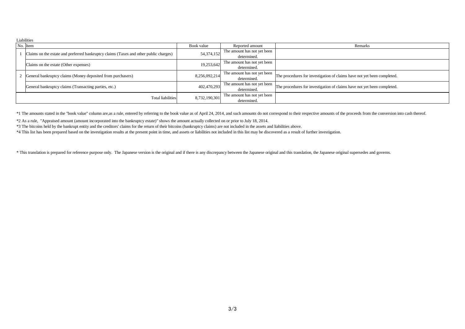|                          | <b>Liabilities</b>                                                                    |               |                             |                                                                         |  |  |  |  |
|--------------------------|---------------------------------------------------------------------------------------|---------------|-----------------------------|-------------------------------------------------------------------------|--|--|--|--|
|                          | No. Item                                                                              | Book value    | Reported amount             | Remarks                                                                 |  |  |  |  |
|                          | Claims on the estate and preferred bankruptcy claims (Taxes and other public charges) | 54,374,152    | The amount has not yet been |                                                                         |  |  |  |  |
|                          |                                                                                       |               | determined.                 |                                                                         |  |  |  |  |
|                          | Claims on the estate (Other expenses)                                                 | 19,253,642    | The amount has not yet been |                                                                         |  |  |  |  |
|                          |                                                                                       |               | determined.                 |                                                                         |  |  |  |  |
|                          | General bankruptcy claims (Money deposited from purchasers)                           | 8,256,092,214 | The amount has not yet been | The procedures for investigation of claims have not yet been completed. |  |  |  |  |
|                          |                                                                                       |               | determined.                 |                                                                         |  |  |  |  |
|                          | General bankruptcy claims (Transacting parties, etc.)                                 | 402,470,293   | The amount has not yet been | The procedures for investigation of claims have not yet been completed. |  |  |  |  |
|                          |                                                                                       |               | determined.                 |                                                                         |  |  |  |  |
| <b>Total liabilities</b> |                                                                                       | 8,732,190,301 | The amount has not yet been |                                                                         |  |  |  |  |
|                          |                                                                                       |               | determined.                 |                                                                         |  |  |  |  |

\*1 The amounts stated in the "book value" column are, as a rule, entered by referring to the book value as of April 24, 2014, and such amounts do not correspond to their respective amounts of the proceeds from the conversi

\*2 As a rule, "Appraised amount (amount incorporated into the bankruptcy estate)" shows the amount actually collected on or prior to July 18, 2014.

\*3 The bitcoins held by the bankrupt entity and the creditors' claims for the return of their bitcoins (bankruptcy claims) are not included in the assets and liabilities above.

\*4 This list has been prepared based on the investigation results at the present point in time, and assets or liabilities not included in this list may be discovered as a result of further investigation.

\* This translation is prepared for reference purpose only. The Japanese version is the original and if there is any discrepancy between the Japanese original and this translation, the Japanese original supersedes and gover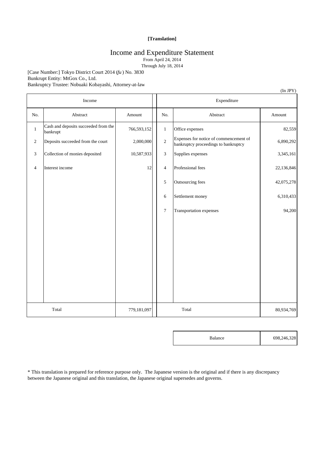#### **[Translation]**

## Income and Expenditure Statement

From April 24, 2014

Through July 18, 2014

[Case Number:] Tokyo District Court 2014 (*fu* ) No. 3830 Bunkrupt Entity: MtGox Co., Ltd. Bankruptcy Trustee: Nobuaki Kobayashi, Attorney-at-law

|                                   |                                                  |             |       |                |                                                                                | (In JPY)   |
|-----------------------------------|--------------------------------------------------|-------------|-------|----------------|--------------------------------------------------------------------------------|------------|
|                                   | Income                                           |             |       | Expenditure    |                                                                                |            |
| No.                               | Abstract                                         | Amount      |       | No.            | Abstract                                                                       | Amount     |
| $\mathbf{1}$                      | Cash and deposits succeeded from the<br>bankrupt | 766,593,152 |       | $\mathbf{1}$   | Office expenses                                                                | 82,559     |
| $\sqrt{2}$                        | Deposits succeeded from the court                | 2,000,000   |       | $\sqrt{2}$     | Expenses for notice of commencement of<br>bankruptcy proceedings to bankruptcy | 6,890,292  |
| 3                                 | Collection of monies deposited                   | 10,587,933  |       | 3              | Supplies expenses                                                              | 3,345,161  |
| Interest income<br>$\overline{4}$ |                                                  | 12          |       | $\overline{4}$ | Professional fees                                                              | 22,136,846 |
|                                   |                                                  |             |       | 5              | Outsourcing fees                                                               | 42,075,278 |
|                                   |                                                  |             |       | 6              | Settlement money                                                               | 6,310,433  |
|                                   |                                                  |             |       | $\overline{7}$ | Transportation expenses                                                        | 94,200     |
|                                   |                                                  |             |       |                |                                                                                |            |
|                                   |                                                  |             |       |                |                                                                                |            |
|                                   |                                                  |             |       |                |                                                                                |            |
|                                   |                                                  |             |       |                |                                                                                |            |
|                                   |                                                  |             |       |                |                                                                                |            |
|                                   |                                                  |             |       |                |                                                                                |            |
|                                   |                                                  |             |       |                |                                                                                |            |
|                                   | Total                                            | 779,181,097 | Total |                | 80,934,769                                                                     |            |

| <b>Balance</b> | 698,246,328 |
|----------------|-------------|
|                |             |

\* This translation is prepared for reference purpose only. The Japanese version is the original and if there is any discrepancy between the Japanese original and this translation, the Japanese original supersedes and governs.